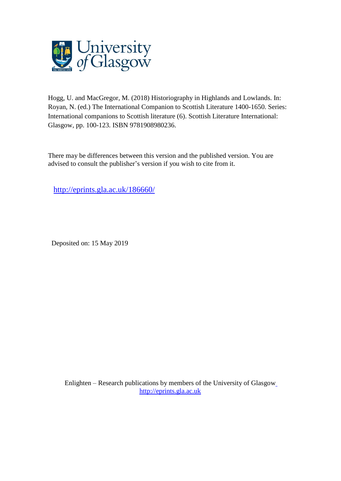

Hogg, U. and MacGregor, M. (2018) Historiography in Highlands and Lowlands. In: Royan, N. (ed.) The International Companion to Scottish Literature 1400-1650. Series: International companions to Scottish literature (6). Scottish Literature International: Glasgow, pp. 100-123. ISBN 9781908980236.

There may be differences between this version and the published version. You are advised to consult the publisher's version if you wish to cite from it.

<http://eprints.gla.ac.uk/186660/>

Deposited on: 15 May 2019

Enlighten – Research publications by members of the University of Glasgo[w](http://eprints.gla.ac.uk/) [http://eprints.gla.ac.uk](http://eprints.gla.ac.uk/)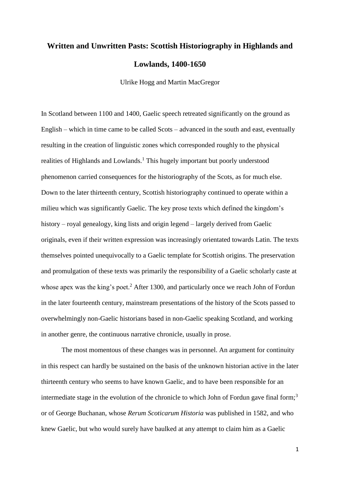## **Written and Unwritten Pasts: Scottish Historiography in Highlands and Lowlands, 1400-1650**

Ulrike Hogg and Martin MacGregor

In Scotland between 1100 and 1400, Gaelic speech retreated significantly on the ground as English – which in time came to be called Scots – advanced in the south and east, eventually resulting in the creation of linguistic zones which corresponded roughly to the physical realities of Highlands and Lowlands.<sup>1</sup> This hugely important but poorly understood phenomenon carried consequences for the historiography of the Scots, as for much else. Down to the later thirteenth century, Scottish historiography continued to operate within a milieu which was significantly Gaelic. The key prose texts which defined the kingdom's history – royal genealogy, king lists and origin legend – largely derived from Gaelic originals, even if their written expression was increasingly orientated towards Latin. The texts themselves pointed unequivocally to a Gaelic template for Scottish origins. The preservation and promulgation of these texts was primarily the responsibility of a Gaelic scholarly caste at whose apex was the king's poet.<sup>2</sup> After 1300, and particularly once we reach John of Fordun in the later fourteenth century, mainstream presentations of the history of the Scots passed to overwhelmingly non-Gaelic historians based in non-Gaelic speaking Scotland, and working in another genre, the continuous narrative chronicle, usually in prose.

The most momentous of these changes was in personnel. An argument for continuity in this respect can hardly be sustained on the basis of the unknown historian active in the later thirteenth century who seems to have known Gaelic, and to have been responsible for an intermediate stage in the evolution of the chronicle to which John of Fordun gave final form;<sup>3</sup> or of George Buchanan, whose *Rerum Scoticarum Historia* was published in 1582, and who knew Gaelic, but who would surely have baulked at any attempt to claim him as a Gaelic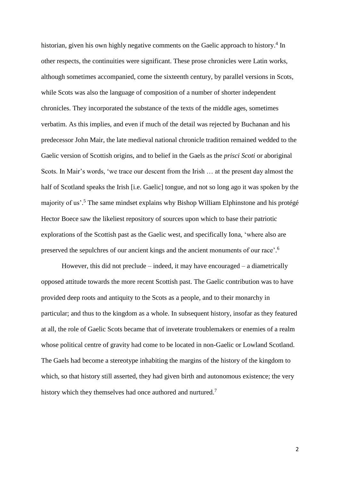historian, given his own highly negative comments on the Gaelic approach to history.<sup>4</sup> In other respects, the continuities were significant. These prose chronicles were Latin works, although sometimes accompanied, come the sixteenth century, by parallel versions in Scots, while Scots was also the language of composition of a number of shorter independent chronicles. They incorporated the substance of the texts of the middle ages, sometimes verbatim. As this implies, and even if much of the detail was rejected by Buchanan and his predecessor John Mair, the late medieval national chronicle tradition remained wedded to the Gaelic version of Scottish origins, and to belief in the Gaels as the *prisci Scoti* or aboriginal Scots. In Mair's words, 'we trace our descent from the Irish … at the present day almost the half of Scotland speaks the Irish [i.e. Gaelic] tongue, and not so long ago it was spoken by the majority of us'. <sup>5</sup> The same mindset explains why Bishop William Elphinstone and his protégé Hector Boece saw the likeliest repository of sources upon which to base their patriotic explorations of the Scottish past as the Gaelic west, and specifically Iona, 'where also are preserved the sepulchres of our ancient kings and the ancient monuments of our race'.<sup>6</sup>

However, this did not preclude – indeed, it may have encouraged – a diametrically opposed attitude towards the more recent Scottish past. The Gaelic contribution was to have provided deep roots and antiquity to the Scots as a people, and to their monarchy in particular; and thus to the kingdom as a whole. In subsequent history, insofar as they featured at all, the role of Gaelic Scots became that of inveterate troublemakers or enemies of a realm whose political centre of gravity had come to be located in non-Gaelic or Lowland Scotland. The Gaels had become a stereotype inhabiting the margins of the history of the kingdom to which, so that history still asserted, they had given birth and autonomous existence; the very history which they themselves had once authored and nurtured.<sup>7</sup>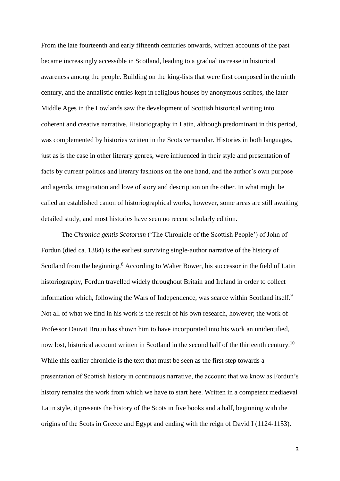From the late fourteenth and early fifteenth centuries onwards, written accounts of the past became increasingly accessible in Scotland, leading to a gradual increase in historical awareness among the people. Building on the king-lists that were first composed in the ninth century, and the annalistic entries kept in religious houses by anonymous scribes, the later Middle Ages in the Lowlands saw the development of Scottish historical writing into coherent and creative narrative. Historiography in Latin, although predominant in this period, was complemented by histories written in the Scots vernacular. Histories in both languages, just as is the case in other literary genres, were influenced in their style and presentation of facts by current politics and literary fashions on the one hand, and the author's own purpose and agenda, imagination and love of story and description on the other. In what might be called an established canon of historiographical works, however, some areas are still awaiting detailed study, and most histories have seen no recent scholarly edition.

The *Chronica gentis Scotorum* ('The Chronicle of the Scottish People') of John of Fordun (died ca. 1384) is the earliest surviving single-author narrative of the history of Scotland from the beginning.<sup>8</sup> According to Walter Bower, his successor in the field of Latin historiography, Fordun travelled widely throughout Britain and Ireland in order to collect information which, following the Wars of Independence, was scarce within Scotland itself.<sup>9</sup> Not all of what we find in his work is the result of his own research, however; the work of Professor Dauvit Broun has shown him to have incorporated into his work an unidentified, now lost, historical account written in Scotland in the second half of the thirteenth century.<sup>10</sup> While this earlier chronicle is the text that must be seen as the first step towards a presentation of Scottish history in continuous narrative, the account that we know as Fordun's history remains the work from which we have to start here. Written in a competent mediaeval Latin style, it presents the history of the Scots in five books and a half, beginning with the origins of the Scots in Greece and Egypt and ending with the reign of David I (1124-1153).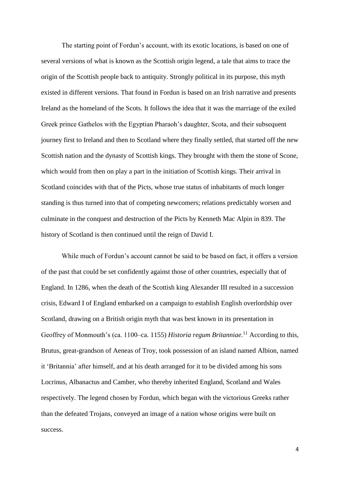The starting point of Fordun's account, with its exotic locations, is based on one of several versions of what is known as the Scottish origin legend, a tale that aims to trace the origin of the Scottish people back to antiquity. Strongly political in its purpose, this myth existed in different versions. That found in Fordun is based on an Irish narrative and presents Ireland as the homeland of the Scots. It follows the idea that it was the marriage of the exiled Greek prince Gathelos with the Egyptian Pharaoh's daughter, Scota, and their subsequent journey first to Ireland and then to Scotland where they finally settled, that started off the new Scottish nation and the dynasty of Scottish kings. They brought with them the stone of Scone, which would from then on play a part in the initiation of Scottish kings. Their arrival in Scotland coincides with that of the Picts, whose true status of inhabitants of much longer standing is thus turned into that of competing newcomers; relations predictably worsen and culminate in the conquest and destruction of the Picts by Kenneth Mac Alpin in 839. The history of Scotland is then continued until the reign of David I.

While much of Fordun's account cannot be said to be based on fact, it offers a version of the past that could be set confidently against those of other countries, especially that of England. In 1286, when the death of the Scottish king Alexander III resulted in a succession crisis, Edward I of England embarked on a campaign to establish English overlordship over Scotland, drawing on a British origin myth that was best known in its presentation in Geoffrey of Monmouth's (ca. 1100–ca. 1155) *Historia regum Britanniae.*<sup>11</sup> According to this, Brutus, great-grandson of Aeneas of Troy, took possession of an island named Albion, named it 'Britannia' after himself, and at his death arranged for it to be divided among his sons Locrinus, Albanactus and Camber, who thereby inherited England, Scotland and Wales respectively. The legend chosen by Fordun, which began with the victorious Greeks rather than the defeated Trojans, conveyed an image of a nation whose origins were built on success.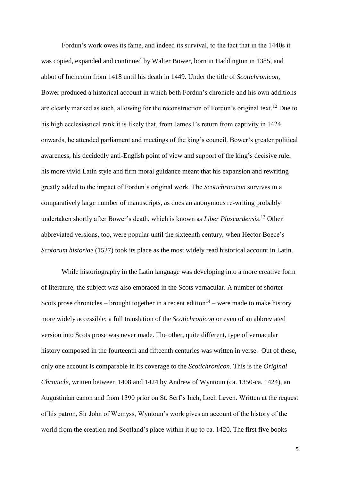Fordun's work owes its fame, and indeed its survival, to the fact that in the 1440s it was copied, expanded and continued by Walter Bower, born in Haddington in 1385, and abbot of Inchcolm from 1418 until his death in 1449. Under the title of *Scotichronicon*, Bower produced a historical account in which both Fordun's chronicle and his own additions are clearly marked as such, allowing for the reconstruction of Fordun's original text.<sup>12</sup> Due to his high ecclesiastical rank it is likely that, from James I's return from captivity in 1424 onwards, he attended parliament and meetings of the king's council. Bower's greater political awareness, his decidedly anti-English point of view and support of the king's decisive rule, his more vivid Latin style and firm moral guidance meant that his expansion and rewriting greatly added to the impact of Fordun's original work. The *Scotichronicon* survives in a comparatively large number of manuscripts, as does an anonymous re-writing probably undertaken shortly after Bower's death, which is known as *Liber Pluscardensis*. <sup>13</sup> Other abbreviated versions, too, were popular until the sixteenth century, when Hector Boece's *Scotorum historiae* (1527) took its place as the most widely read historical account in Latin.

While historiography in the Latin language was developing into a more creative form of literature, the subject was also embraced in the Scots vernacular. A number of shorter Scots prose chronicles – brought together in a recent edition<sup>14</sup> – were made to make history more widely accessible; a full translation of the *Scotichronicon* or even of an abbreviated version into Scots prose was never made. The other, quite different, type of vernacular history composed in the fourteenth and fifteenth centuries was written in verse. Out of these, only one account is comparable in its coverage to the *Scotichronicon.* This is the *Original Chronicle,* written between 1408 and 1424 by Andrew of Wyntoun (ca. 1350-ca. 1424), an Augustinian canon and from 1390 prior on St. Serf's Inch, Loch Leven. Written at the request of his patron, Sir John of Wemyss, Wyntoun's work gives an account of the history of the world from the creation and Scotland's place within it up to ca. 1420. The first five books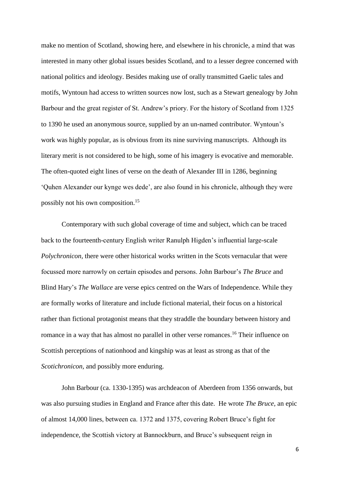make no mention of Scotland, showing here, and elsewhere in his chronicle, a mind that was interested in many other global issues besides Scotland, and to a lesser degree concerned with national politics and ideology. Besides making use of orally transmitted Gaelic tales and motifs, Wyntoun had access to written sources now lost, such as a Stewart genealogy by John Barbour and the great register of St. Andrew's priory. For the history of Scotland from 1325 to 1390 he used an anonymous source, supplied by an un-named contributor. Wyntoun's work was highly popular, as is obvious from its nine surviving manuscripts. Although its literary merit is not considered to be high, some of his imagery is evocative and memorable. The often-quoted eight lines of verse on the death of Alexander III in 1286, beginning 'Quhen Alexander our kynge wes dede', are also found in his chronicle, although they were possibly not his own composition. 15

Contemporary with such global coverage of time and subject, which can be traced back to the fourteenth-century English writer Ranulph Higden's influential large-scale *Polychronicon,* there were other historical works written in the Scots vernacular that were focussed more narrowly on certain episodes and persons. John Barbour's *The Bruce* and Blind Hary's *The Wallace* are verse epics centred on the Wars of Independence. While they are formally works of literature and include fictional material, their focus on a historical rather than fictional protagonist means that they straddle the boundary between history and romance in a way that has almost no parallel in other verse romances.<sup>16</sup> Their influence on Scottish perceptions of nationhood and kingship was at least as strong as that of the *Scotichronicon,* and possibly more enduring.

John Barbour (ca. 1330-1395) was archdeacon of Aberdeen from 1356 onwards, but was also pursuing studies in England and France after this date. He wrote *The Bruce,* an epic of almost 14,000 lines, between ca. 1372 and 1375, covering Robert Bruce's fight for independence, the Scottish victory at Bannockburn, and Bruce's subsequent reign in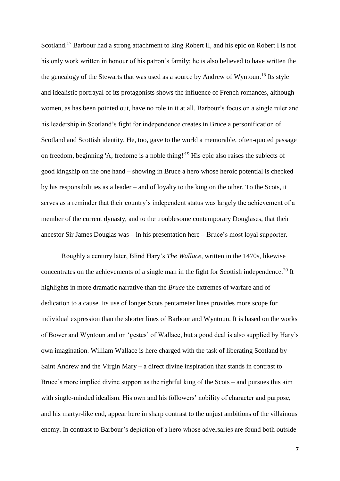Scotland.<sup>17</sup> Barbour had a strong attachment to king Robert II, and his epic on Robert I is not his only work written in honour of his patron's family; he is also believed to have written the the genealogy of the Stewarts that was used as a source by Andrew of Wyntoun.<sup>18</sup> Its style and idealistic portrayal of its protagonists shows the influence of French romances, although women, as has been pointed out, have no role in it at all. Barbour's focus on a single ruler and his leadership in Scotland's fight for independence creates in Bruce a personification of Scotland and Scottish identity. He, too, gave to the world a memorable, often-quoted passage on freedom, beginning 'A, fredome is a noble thing!'<sup>19</sup> His epic also raises the subjects of good kingship on the one hand – showing in Bruce a hero whose heroic potential is checked by his responsibilities as a leader – and of loyalty to the king on the other. To the Scots, it serves as a reminder that their country's independent status was largely the achievement of a member of the current dynasty, and to the troublesome contemporary Douglases, that their ancestor Sir James Douglas was – in his presentation here – Bruce's most loyal supporter.

Roughly a century later, Blind Hary's *The Wallace,* written in the 1470s, likewise concentrates on the achievements of a single man in the fight for Scottish independence.<sup>20</sup> It highlights in more dramatic narrative than the *Bruce* the extremes of warfare and of dedication to a cause. Its use of longer Scots pentameter lines provides more scope for individual expression than the shorter lines of Barbour and Wyntoun. It is based on the works of Bower and Wyntoun and on 'gestes' of Wallace, but a good deal is also supplied by Hary's own imagination. William Wallace is here charged with the task of liberating Scotland by Saint Andrew and the Virgin Mary – a direct divine inspiration that stands in contrast to Bruce's more implied divine support as the rightful king of the Scots – and pursues this aim with single-minded idealism. His own and his followers' nobility of character and purpose, and his martyr-like end, appear here in sharp contrast to the unjust ambitions of the villainous enemy. In contrast to Barbour's depiction of a hero whose adversaries are found both outside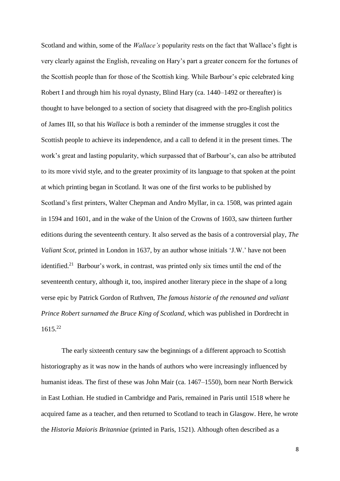Scotland and within, some of the *Wallace's* popularity rests on the fact that Wallace's fight is very clearly against the English, revealing on Hary's part a greater concern for the fortunes of the Scottish people than for those of the Scottish king. While Barbour's epic celebrated king Robert I and through him his royal dynasty, Blind Hary (ca. 1440–1492 or thereafter) is thought to have belonged to a section of society that disagreed with the pro-English politics of James III, so that his *Wallace* is both a reminder of the immense struggles it cost the Scottish people to achieve its independence, and a call to defend it in the present times. The work's great and lasting popularity, which surpassed that of Barbour's, can also be attributed to its more vivid style, and to the greater proximity of its language to that spoken at the point at which printing began in Scotland. It was one of the first works to be published by Scotland's first printers, Walter Chepman and Andro Myllar, in ca. 1508, was printed again in 1594 and 1601, and in the wake of the Union of the Crowns of 1603, saw thirteen further editions during the seventeenth century. It also served as the basis of a controversial play, *The Valiant Scot,* printed in London in 1637, by an author whose initials 'J.W.' have not been identified.<sup>21</sup> Barbour's work, in contrast, was printed only six times until the end of the seventeenth century, although it, too, inspired another literary piece in the shape of a long verse epic by Patrick Gordon of Ruthven, *The famous historie of the renouned and valiant Prince Robert surnamed the Bruce King of Scotland*, which was published in Dordrecht in 1615.<sup>22</sup>

The early sixteenth century saw the beginnings of a different approach to Scottish historiography as it was now in the hands of authors who were increasingly influenced by humanist ideas. The first of these was John Mair (ca. 1467–1550), born near North Berwick in East Lothian. He studied in Cambridge and Paris, remained in Paris until 1518 where he acquired fame as a teacher, and then returned to Scotland to teach in Glasgow. Here, he wrote the *Historia Maioris Britanniae* (printed in Paris, 1521). Although often described as a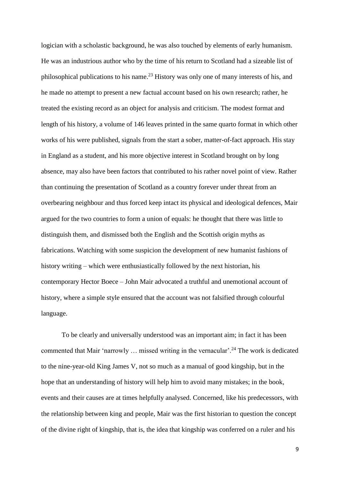logician with a scholastic background, he was also touched by elements of early humanism. He was an industrious author who by the time of his return to Scotland had a sizeable list of philosophical publications to his name.<sup>23</sup> History was only one of many interests of his, and he made no attempt to present a new factual account based on his own research; rather, he treated the existing record as an object for analysis and criticism. The modest format and length of his history, a volume of 146 leaves printed in the same quarto format in which other works of his were published, signals from the start a sober, matter-of-fact approach. His stay in England as a student, and his more objective interest in Scotland brought on by long absence, may also have been factors that contributed to his rather novel point of view. Rather than continuing the presentation of Scotland as a country forever under threat from an overbearing neighbour and thus forced keep intact its physical and ideological defences, Mair argued for the two countries to form a union of equals: he thought that there was little to distinguish them, and dismissed both the English and the Scottish origin myths as fabrications. Watching with some suspicion the development of new humanist fashions of history writing – which were enthusiastically followed by the next historian, his contemporary Hector Boece – John Mair advocated a truthful and unemotional account of history, where a simple style ensured that the account was not falsified through colourful language.

To be clearly and universally understood was an important aim; in fact it has been commented that Mair 'narrowly  $\ldots$  missed writing in the vernacular'.<sup>24</sup> The work is dedicated to the nine-year-old King James V, not so much as a manual of good kingship, but in the hope that an understanding of history will help him to avoid many mistakes; in the book, events and their causes are at times helpfully analysed. Concerned, like his predecessors, with the relationship between king and people, Mair was the first historian to question the concept of the divine right of kingship, that is, the idea that kingship was conferred on a ruler and his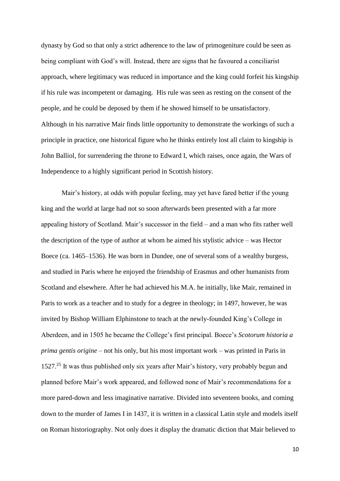dynasty by God so that only a strict adherence to the law of primogeniture could be seen as being compliant with God's will. Instead, there are signs that he favoured a conciliarist approach, where legitimacy was reduced in importance and the king could forfeit his kingship if his rule was incompetent or damaging. His rule was seen as resting on the consent of the people, and he could be deposed by them if he showed himself to be unsatisfactory. Although in his narrative Mair finds little opportunity to demonstrate the workings of such a principle in practice, one historical figure who he thinks entirely lost all claim to kingship is John Balliol, for surrendering the throne to Edward I, which raises, once again, the Wars of Independence to a highly significant period in Scottish history.

Mair's history, at odds with popular feeling, may yet have fared better if the young king and the world at large had not so soon afterwards been presented with a far more appealing history of Scotland. Mair's successor in the field – and a man who fits rather well the description of the type of author at whom he aimed his stylistic advice – was Hector Boece (ca. 1465–1536). He was born in Dundee, one of several sons of a wealthy burgess, and studied in Paris where he enjoyed the friendship of Erasmus and other humanists from Scotland and elsewhere. After he had achieved his M.A. he initially, like Mair, remained in Paris to work as a teacher and to study for a degree in theology; in 1497, however, he was invited by Bishop William Elphinstone to teach at the newly-founded King's College in Aberdeen, and in 1505 he became the College's first principal. Boece's *Scotorum historia a prima gentis origine –* not his only, but his most important work – was printed in Paris in 1527.<sup>25</sup> It was thus published only six years after Mair's history, very probably begun and planned before Mair's work appeared, and followed none of Mair's recommendations for a more pared-down and less imaginative narrative. Divided into seventeen books, and coming down to the murder of James I in 1437, it is written in a classical Latin style and models itself on Roman historiography. Not only does it display the dramatic diction that Mair believed to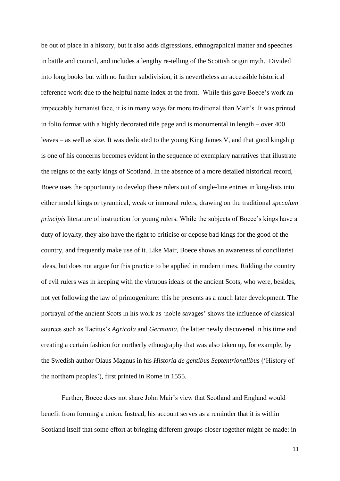be out of place in a history, but it also adds digressions, ethnographical matter and speeches in battle and council, and includes a lengthy re-telling of the Scottish origin myth. Divided into long books but with no further subdivision, it is nevertheless an accessible historical reference work due to the helpful name index at the front. While this gave Boece's work an impeccably humanist face, it is in many ways far more traditional than Mair's. It was printed in folio format with a highly decorated title page and is monumental in length – over 400 leaves – as well as size. It was dedicated to the young King James V, and that good kingship is one of his concerns becomes evident in the sequence of exemplary narratives that illustrate the reigns of the early kings of Scotland. In the absence of a more detailed historical record, Boece uses the opportunity to develop these rulers out of single-line entries in king-lists into either model kings or tyrannical, weak or immoral rulers, drawing on the traditional *speculum principis* literature of instruction for young rulers. While the subjects of Boece's kings have a duty of loyalty, they also have the right to criticise or depose bad kings for the good of the country, and frequently make use of it. Like Mair, Boece shows an awareness of conciliarist ideas, but does not argue for this practice to be applied in modern times. Ridding the country of evil rulers was in keeping with the virtuous ideals of the ancient Scots, who were, besides, not yet following the law of primogeniture: this he presents as a much later development. The portrayal of the ancient Scots in his work as 'noble savages' shows the influence of classical sources such as Tacitus's *Agricola* and *Germania,* the latter newly discovered in his time and creating a certain fashion for northerly ethnography that was also taken up, for example, by the Swedish author Olaus Magnus in his *Historia de gentibus Septentrionalibus* ('History of the northern peoples'), first printed in Rome in 1555.

Further, Boece does not share John Mair's view that Scotland and England would benefit from forming a union. Instead, his account serves as a reminder that it is within Scotland itself that some effort at bringing different groups closer together might be made: in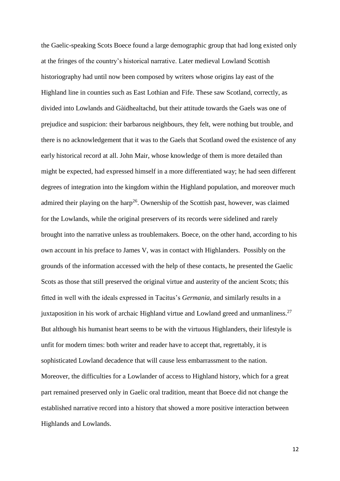the Gaelic-speaking Scots Boece found a large demographic group that had long existed only at the fringes of the country's historical narrative. Later medieval Lowland Scottish historiography had until now been composed by writers whose origins lay east of the Highland line in counties such as East Lothian and Fife. These saw Scotland, correctly, as divided into Lowlands and Gàidhealtachd, but their attitude towards the Gaels was one of prejudice and suspicion: their barbarous neighbours, they felt, were nothing but trouble, and there is no acknowledgement that it was to the Gaels that Scotland owed the existence of any early historical record at all. John Mair, whose knowledge of them is more detailed than might be expected, had expressed himself in a more differentiated way; he had seen different degrees of integration into the kingdom within the Highland population, and moreover much admired their playing on the harp<sup>26</sup>. Ownership of the Scottish past, however, was claimed for the Lowlands, while the original preservers of its records were sidelined and rarely brought into the narrative unless as troublemakers. Boece, on the other hand, according to his own account in his preface to James V, was in contact with Highlanders. Possibly on the grounds of the information accessed with the help of these contacts, he presented the Gaelic Scots as those that still preserved the original virtue and austerity of the ancient Scots; this fitted in well with the ideals expressed in Tacitus's *Germania,* and similarly results in a juxtaposition in his work of archaic Highland virtue and Lowland greed and unmanliness.<sup>27</sup> But although his humanist heart seems to be with the virtuous Highlanders, their lifestyle is unfit for modern times: both writer and reader have to accept that, regrettably, it is sophisticated Lowland decadence that will cause less embarrassment to the nation. Moreover, the difficulties for a Lowlander of access to Highland history, which for a great part remained preserved only in Gaelic oral tradition, meant that Boece did not change the established narrative record into a history that showed a more positive interaction between Highlands and Lowlands.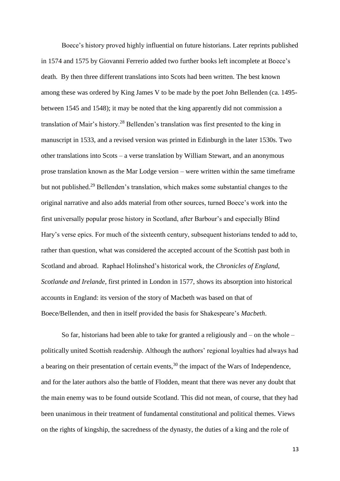Boece's history proved highly influential on future historians. Later reprints published in 1574 and 1575 by Giovanni Ferrerio added two further books left incomplete at Boece's death. By then three different translations into Scots had been written. The best known among these was ordered by King James V to be made by the poet John Bellenden (ca. 1495 between 1545 and 1548); it may be noted that the king apparently did not commission a translation of Mair's history.<sup>28</sup> Bellenden's translation was first presented to the king in manuscript in 1533, and a revised version was printed in Edinburgh in the later 1530s. Two other translations into Scots – a verse translation by William Stewart, and an anonymous prose translation known as the Mar Lodge version – were written within the same timeframe but not published.<sup>29</sup> Bellenden's translation, which makes some substantial changes to the original narrative and also adds material from other sources, turned Boece's work into the first universally popular prose history in Scotland, after Barbour's and especially Blind Hary's verse epics. For much of the sixteenth century, subsequent historians tended to add to, rather than question, what was considered the accepted account of the Scottish past both in Scotland and abroad. Raphael Holinshed's historical work, the *Chronicles of England, Scotlande and Irelande,* first printed in London in 1577, shows its absorption into historical accounts in England: its version of the story of Macbeth was based on that of Boece/Bellenden, and then in itself provided the basis for Shakespeare's *Macbeth*.

So far, historians had been able to take for granted a religiously and  $-$  on the whole  $$ politically united Scottish readership. Although the authors' regional loyalties had always had a bearing on their presentation of certain events,  $30$  the impact of the Wars of Independence, and for the later authors also the battle of Flodden, meant that there was never any doubt that the main enemy was to be found outside Scotland. This did not mean, of course, that they had been unanimous in their treatment of fundamental constitutional and political themes. Views on the rights of kingship, the sacredness of the dynasty, the duties of a king and the role of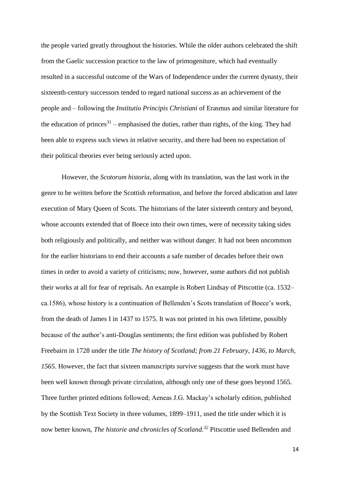the people varied greatly throughout the histories. While the older authors celebrated the shift from the Gaelic succession practice to the law of primogeniture, which had eventually resulted in a successful outcome of the Wars of Independence under the current dynasty, their sixteenth-century successors tended to regard national success as an achievement of the people and – following the *Institutio Principis Christiani* of Erasmus and similar literature for the education of princes<sup>31</sup> – emphasised the duties, rather than rights, of the king. They had been able to express such views in relative security, and there had been no expectation of their political theories ever being seriously acted upon.

However, the *Scotorum historia*, along with its translation, was the last work in the genre to be written before the Scottish reformation, and before the forced abdication and later execution of Mary Queen of Scots. The historians of the later sixteenth century and beyond, whose accounts extended that of Boece into their own times, were of necessity taking sides both religiously and politically, and neither was without danger. It had not been uncommon for the earlier historians to end their accounts a safe number of decades before their own times in order to avoid a variety of criticisms; now, however, some authors did not publish their works at all for fear of reprisals. An example is Robert Lindsay of Pitscottie (ca. 1532– ca.1586), whose history is a continuation of Bellenden's Scots translation of Boece's work, from the death of James I in 1437 to 1575. It was not printed in his own lifetime, possibly because of the author's anti-Douglas sentiments; the first edition was published by Robert Freebairn in 1728 under the title *The history of Scotland; from 21 February, 1436, to March, 1565*. However, the fact that sixteen manuscripts survive suggests that the work must have been well known through private circulation, although only one of these goes beyond 1565. Three further printed editions followed; Aeneas J.G. Mackay's scholarly edition, published by the Scottish Text Society in three volumes, 1899–1911, used the title under which it is now better known, *The historie and chronicles of Scotland.<sup>32</sup>* Pitscottie used Bellenden and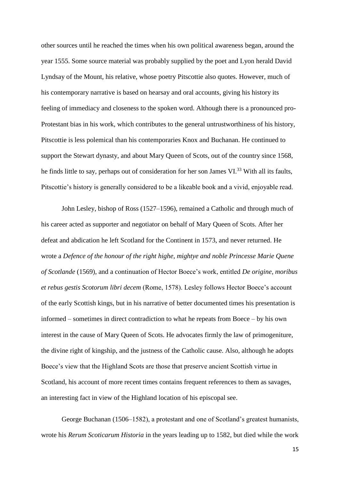other sources until he reached the times when his own political awareness began, around the year 1555. Some source material was probably supplied by the poet and Lyon herald David Lyndsay of the Mount, his relative, whose poetry Pitscottie also quotes. However, much of his contemporary narrative is based on hearsay and oral accounts, giving his history its feeling of immediacy and closeness to the spoken word. Although there is a pronounced pro-Protestant bias in his work, which contributes to the general untrustworthiness of his history, Pitscottie is less polemical than his contemporaries Knox and Buchanan. He continued to support the Stewart dynasty, and about Mary Queen of Scots, out of the country since 1568, he finds little to say, perhaps out of consideration for her son James VI.<sup>33</sup> With all its faults, Pitscottie's history is generally considered to be a likeable book and a vivid, enjoyable read.

John Lesley, bishop of Ross (1527–1596), remained a Catholic and through much of his career acted as supporter and negotiator on behalf of Mary Queen of Scots. After her defeat and abdication he left Scotland for the Continent in 1573, and never returned. He wrote a *Defence of the honour of the right highe, mightye and noble Princesse Marie Quene of Scotlande* (1569), and a continuation of Hector Boece's work, entitled *De origine, moribus et rebus gestis Scotorum libri decem* (Rome, 1578). Lesley follows Hector Boece's account of the early Scottish kings, but in his narrative of better documented times his presentation is informed – sometimes in direct contradiction to what he repeats from Boece – by his own interest in the cause of Mary Queen of Scots. He advocates firmly the law of primogeniture, the divine right of kingship, and the justness of the Catholic cause. Also, although he adopts Boece's view that the Highland Scots are those that preserve ancient Scottish virtue in Scotland, his account of more recent times contains frequent references to them as savages, an interesting fact in view of the Highland location of his episcopal see.

George Buchanan (1506–1582), a protestant and one of Scotland's greatest humanists, wrote his *Rerum Scoticarum Historia* in the years leading up to 1582, but died while the work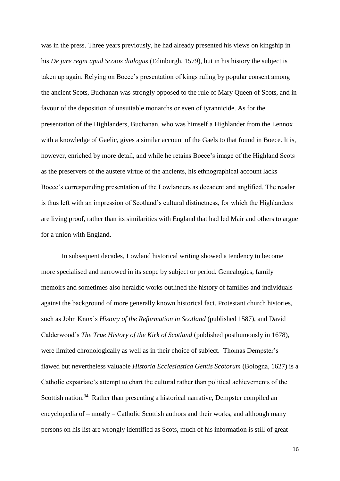was in the press. Three years previously, he had already presented his views on kingship in his *De jure regni apud Scotos dialogus* (Edinburgh, 1579), but in his history the subject is taken up again. Relying on Boece's presentation of kings ruling by popular consent among the ancient Scots, Buchanan was strongly opposed to the rule of Mary Queen of Scots, and in favour of the deposition of unsuitable monarchs or even of tyrannicide. As for the presentation of the Highlanders, Buchanan, who was himself a Highlander from the Lennox with a knowledge of Gaelic, gives a similar account of the Gaels to that found in Boece. It is, however, enriched by more detail, and while he retains Boece's image of the Highland Scots as the preservers of the austere virtue of the ancients, his ethnographical account lacks Boece's corresponding presentation of the Lowlanders as decadent and anglified. The reader is thus left with an impression of Scotland's cultural distinctness, for which the Highlanders are living proof, rather than its similarities with England that had led Mair and others to argue for a union with England.

In subsequent decades, Lowland historical writing showed a tendency to become more specialised and narrowed in its scope by subject or period. Genealogies, family memoirs and sometimes also heraldic works outlined the history of families and individuals against the background of more generally known historical fact. Protestant church histories, such as John Knox's *History of the Reformation in Scotland* (published 1587)*,* and David Calderwood's *The True History of the Kirk of Scotland* (published posthumously in 1678), were limited chronologically as well as in their choice of subject. Thomas Dempster's flawed but nevertheless valuable *Historia Ecclesiastica Gentis Scotorum* (Bologna, 1627) is a Catholic expatriate's attempt to chart the cultural rather than political achievements of the Scottish nation.<sup>34</sup> Rather than presenting a historical narrative, Dempster compiled an encyclopedia of – mostly – Catholic Scottish authors and their works, and although many persons on his list are wrongly identified as Scots, much of his information is still of great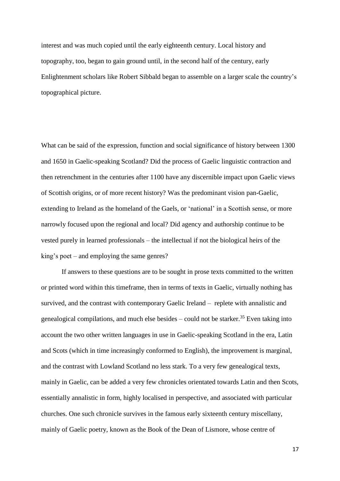interest and was much copied until the early eighteenth century. Local history and topography, too, began to gain ground until, in the second half of the century, early Enlightenment scholars like Robert Sibbald began to assemble on a larger scale the country's topographical picture.

What can be said of the expression, function and social significance of history between 1300 and 1650 in Gaelic-speaking Scotland? Did the process of Gaelic linguistic contraction and then retrenchment in the centuries after 1100 have any discernible impact upon Gaelic views of Scottish origins, or of more recent history? Was the predominant vision pan-Gaelic, extending to Ireland as the homeland of the Gaels, or 'national' in a Scottish sense, or more narrowly focused upon the regional and local? Did agency and authorship continue to be vested purely in learned professionals – the intellectual if not the biological heirs of the king's poet – and employing the same genres?

If answers to these questions are to be sought in prose texts committed to the written or printed word within this timeframe, then in terms of texts in Gaelic, virtually nothing has survived, and the contrast with contemporary Gaelic Ireland – replete with annalistic and genealogical compilations, and much else besides  $-$  could not be starker.<sup>35</sup> Even taking into account the two other written languages in use in Gaelic-speaking Scotland in the era, Latin and Scots (which in time increasingly conformed to English), the improvement is marginal, and the contrast with Lowland Scotland no less stark. To a very few genealogical texts, mainly in Gaelic, can be added a very few chronicles orientated towards Latin and then Scots, essentially annalistic in form, highly localised in perspective, and associated with particular churches. One such chronicle survives in the famous early sixteenth century miscellany, mainly of Gaelic poetry, known as the Book of the Dean of Lismore, whose centre of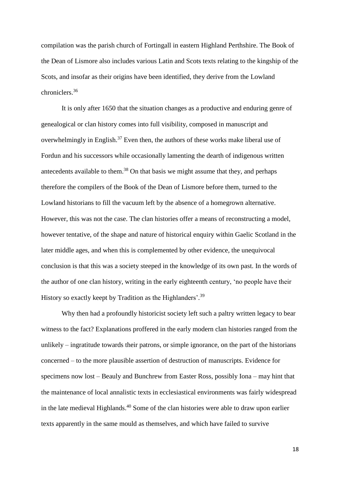compilation was the parish church of Fortingall in eastern Highland Perthshire. The Book of the Dean of Lismore also includes various Latin and Scots texts relating to the kingship of the Scots, and insofar as their origins have been identified, they derive from the Lowland chroniclers.<sup>36</sup>

It is only after 1650 that the situation changes as a productive and enduring genre of genealogical or clan history comes into full visibility, composed in manuscript and overwhelmingly in English.<sup>37</sup> Even then, the authors of these works make liberal use of Fordun and his successors while occasionally lamenting the dearth of indigenous written antecedents available to them. <sup>38</sup> On that basis we might assume that they, and perhaps therefore the compilers of the Book of the Dean of Lismore before them, turned to the Lowland historians to fill the vacuum left by the absence of a homegrown alternative. However, this was not the case. The clan histories offer a means of reconstructing a model, however tentative, of the shape and nature of historical enquiry within Gaelic Scotland in the later middle ages, and when this is complemented by other evidence, the unequivocal conclusion is that this was a society steeped in the knowledge of its own past. In the words of the author of one clan history, writing in the early eighteenth century, 'no people have their History so exactly keept by Tradition as the Highlanders'.<sup>39</sup>

Why then had a profoundly historicist society left such a paltry written legacy to bear witness to the fact? Explanations proffered in the early modern clan histories ranged from the unlikely – ingratitude towards their patrons, or simple ignorance, on the part of the historians concerned – to the more plausible assertion of destruction of manuscripts. Evidence for specimens now lost – Beauly and Bunchrew from Easter Ross, possibly Iona – may hint that the maintenance of local annalistic texts in ecclesiastical environments was fairly widespread in the late medieval Highlands.<sup>40</sup> Some of the clan histories were able to draw upon earlier texts apparently in the same mould as themselves, and which have failed to survive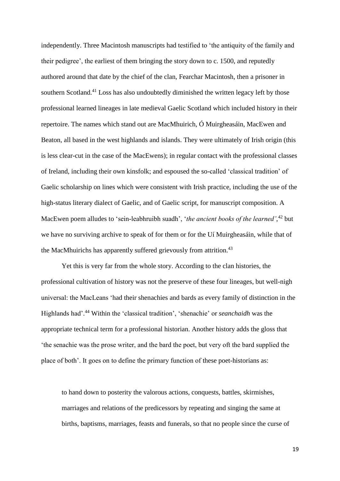independently. Three Macintosh manuscripts had testified to 'the antiquity of the family and their pedigree', the earliest of them bringing the story down to c. 1500, and reputedly authored around that date by the chief of the clan, Fearchar Macintosh, then a prisoner in southern Scotland.<sup>41</sup> Loss has also undoubtedly diminished the written legacy left by those professional learned lineages in late medieval Gaelic Scotland which included history in their repertoire. The names which stand out are MacMhuirich, Ó Muirgheasáin, MacEwen and Beaton, all based in the west highlands and islands. They were ultimately of Irish origin (this is less clear-cut in the case of the MacEwens); in regular contact with the professional classes of Ireland, including their own kinsfolk; and espoused the so-called 'classical tradition' of Gaelic scholarship on lines which were consistent with Irish practice, including the use of the high-status literary dialect of Gaelic, and of Gaelic script, for manuscript composition. A MacEwen poem alludes to 'sein-leabhruibh suadh', '*the ancient books of the learned'*, <sup>42</sup> but we have no surviving archive to speak of for them or for the Uí Muirgheasáin, while that of the MacMhuirichs has apparently suffered grievously from attrition.<sup>43</sup>

Yet this is very far from the whole story. According to the clan histories, the professional cultivation of history was not the preserve of these four lineages, but well-nigh universal: the MacLeans 'had their shenachies and bards as every family of distinction in the Highlands had'. <sup>44</sup> Within the 'classical tradition', 'shenachie' or *seanchaidh* was the appropriate technical term for a professional historian. Another history adds the gloss that 'the senachie was the prose writer, and the bard the poet, but very oft the bard supplied the place of both'. It goes on to define the primary function of these poet-historians as:

to hand down to posterity the valorous actions, conquests, battles, skirmishes, marriages and relations of the predicessors by repeating and singing the same at births, baptisms, marriages, feasts and funerals, so that no people since the curse of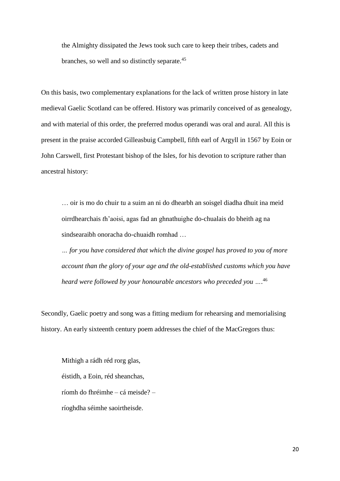the Almighty dissipated the Jews took such care to keep their tribes, cadets and branches, so well and so distinctly separate.<sup>45</sup>

On this basis, two complementary explanations for the lack of written prose history in late medieval Gaelic Scotland can be offered. History was primarily conceived of as genealogy, and with material of this order, the preferred modus operandi was oral and aural. All this is present in the praise accorded Gilleasbuig Campbell, fifth earl of Argyll in 1567 by Eoin or John Carswell, first Protestant bishop of the Isles, for his devotion to scripture rather than ancestral history:

… oir is mo do chuir tu a suim an ni do dhearbh an soisgel diadha dhuit ina meid oirrdhearchais *t*h'aoisi, agas fad an ghnathuighe do-chualais do bheith ag na sindsearaibh onoracha do-chuaidh romhad …

*… for you have considered that which the divine gospel has proved to you of more account than the glory of your age and the old-established customs which you have heard were followed by your honourable ancestors who preceded you …*. 46

Secondly, Gaelic poetry and song was a fitting medium for rehearsing and memorialising history. An early sixteenth century poem addresses the chief of the MacGregors thus:

Mithigh a rádh réd rorg glas, éistidh, a Eoin, réd sheanchas, ríomh do fhréimhe – cá meisde? – ríoghdha séimhe saoirtheisde.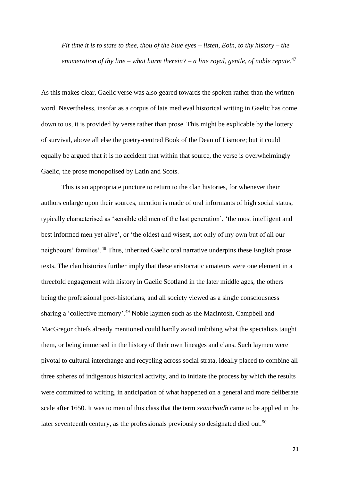*Fit time it is to state to thee, thou of the blue eyes – listen, Eoin, to thy history – the enumeration of thy line – what harm therein? – a line royal, gentle, of noble repute*. 47

As this makes clear, Gaelic verse was also geared towards the spoken rather than the written word. Nevertheless, insofar as a corpus of late medieval historical writing in Gaelic has come down to us, it is provided by verse rather than prose. This might be explicable by the lottery of survival, above all else the poetry-centred Book of the Dean of Lismore; but it could equally be argued that it is no accident that within that source, the verse is overwhelmingly Gaelic, the prose monopolised by Latin and Scots.

This is an appropriate juncture to return to the clan histories, for whenever their authors enlarge upon their sources, mention is made of oral informants of high social status, typically characterised as 'sensible old men of the last generation', 'the most intelligent and best informed men yet alive', or 'the oldest and wisest, not only of my own but of all our neighbours' families'.<sup>48</sup> Thus, inherited Gaelic oral narrative underpins these English prose texts. The clan histories further imply that these aristocratic amateurs were one element in a threefold engagement with history in Gaelic Scotland in the later middle ages, the others being the professional poet-historians, and all society viewed as a single consciousness sharing a 'collective memory'.<sup>49</sup> Noble laymen such as the Macintosh, Campbell and MacGregor chiefs already mentioned could hardly avoid imbibing what the specialists taught them, or being immersed in the history of their own lineages and clans. Such laymen were pivotal to cultural interchange and recycling across social strata, ideally placed to combine all three spheres of indigenous historical activity, and to initiate the process by which the results were committed to writing, in anticipation of what happened on a general and more deliberate scale after 1650. It was to men of this class that the term *seanchaidh* came to be applied in the later seventeenth century, as the professionals previously so designated died out.<sup>50</sup>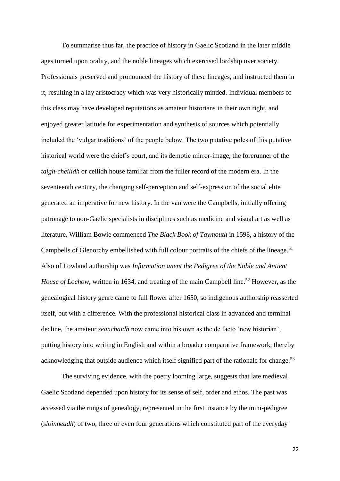To summarise thus far, the practice of history in Gaelic Scotland in the later middle ages turned upon orality, and the noble lineages which exercised lordship over society. Professionals preserved and pronounced the history of these lineages, and instructed them in it, resulting in a lay aristocracy which was very historically minded. Individual members of this class may have developed reputations as amateur historians in their own right, and enjoyed greater latitude for experimentation and synthesis of sources which potentially included the 'vulgar traditions' of the people below. The two putative poles of this putative historical world were the chief's court, and its demotic mirror-image, the forerunner of the *taigh-chèilidh* or ceilidh house familiar from the fuller record of the modern era. In the seventeenth century, the changing self-perception and self-expression of the social elite generated an imperative for new history. In the van were the Campbells, initially offering patronage to non-Gaelic specialists in disciplines such as medicine and visual art as well as literature. William Bowie commenced *The Black Book of Taymouth* in 1598, a history of the Campbells of Glenorchy embellished with full colour portraits of the chiefs of the lineage. 51 Also of Lowland authorship was *Information anent the Pedigree of the Noble and Antient House of Lochow*, written in 1634, and treating of the main Campbell line.<sup>52</sup> However, as the genealogical history genre came to full flower after 1650, so indigenous authorship reasserted itself, but with a difference. With the professional historical class in advanced and terminal decline, the amateur *seanchaidh* now came into his own as the de facto 'new historian', putting history into writing in English and within a broader comparative framework, thereby acknowledging that outside audience which itself signified part of the rationale for change.<sup>53</sup>

The surviving evidence, with the poetry looming large, suggests that late medieval Gaelic Scotland depended upon history for its sense of self, order and ethos. The past was accessed via the rungs of genealogy, represented in the first instance by the mini-pedigree (*sloinneadh*) of two, three or even four generations which constituted part of the everyday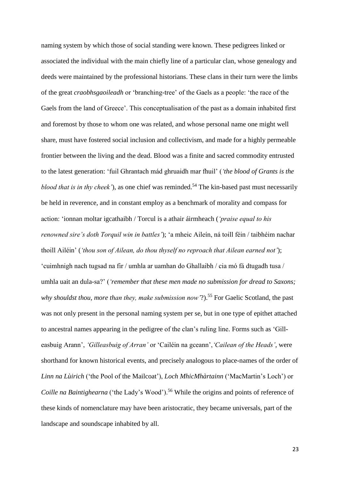naming system by which those of social standing were known. These pedigrees linked or associated the individual with the main chiefly line of a particular clan, whose genealogy and deeds were maintained by the professional historians. These clans in their turn were the limbs of the great *craobhsgaoileadh* or 'branching-tree' of the Gaels as a people: 'the race of the Gaels from the land of Greece'. This conceptualisation of the past as a domain inhabited first and foremost by those to whom one was related, and whose personal name one might well share, must have fostered social inclusion and collectivism, and made for a highly permeable frontier between the living and the dead. Blood was a finite and sacred commodity entrusted to the latest generation: 'fuil Ghrantach mád ghruaidh mar fhuil' (*'the blood of Grants is the blood that is in thy cheek'*), as one chief was reminded.<sup>54</sup> The kin-based past must necessarily be held in reverence, and in constant employ as a benchmark of morality and compass for action: 'ionnan moltar igcathaibh / Torcul is a athair áirmheach (*'praise equal to his renowned sire's doth Torquil win in battles'*); 'a mheic Aileín, ná toill féin / taibhéim nachar thoill Ailéin' (*'thou son of Ailean, do thou thyself no reproach that Ailean earned not'*); 'cuimhnigh nach tugsad na fir / umhla ar uamhan do Ghallaibh / cia mó fá dtugadh tusa / umhla uait an dula-sa?' (*'remember that these men made no submission for dread to Saxons; why shouldst thou, more than they, make submission now* '?).<sup>55</sup> For Gaelic Scotland, the past was not only present in the personal naming system per se, but in one type of epithet attached to ancestral names appearing in the pedigree of the clan's ruling line. Forms such as 'Gilleasbuig Arann', *'Gilleasbuig of Arran'* or 'Cailéin na gceann',*'Cailean of the Heads'*, were shorthand for known historical events, and precisely analogous to place-names of the order of *Linn na Lùirich* ('the Pool of the Mailcoat'), *Loch MhicMhàrtainn* ('MacMartin's Loch') or *Coille na Baintighearna* ('the Lady's Wood').<sup>56</sup> While the origins and points of reference of these kinds of nomenclature may have been aristocratic, they became universals, part of the landscape and soundscape inhabited by all.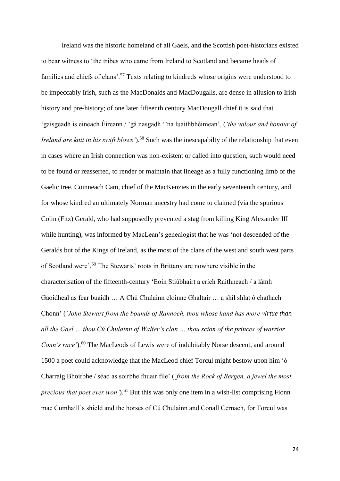Ireland was the historic homeland of all Gaels, and the Scottish poet-historians existed to bear witness to 'the tribes who came from Ireland to Scotland and became heads of families and chiefs of clans'.<sup>57</sup> Texts relating to kindreds whose origins were understood to be impeccably Irish, such as the MacDonalds and MacDougalls, are dense in allusion to Irish history and pre-history; of one later fifteenth century MacDougall chief it is said that 'gaisgeadh is eineach Éireann / 'gá nasgadh ''na luaithbhéimean', (*'the valour and honour of Ireland are knit in his swift blows'*). <sup>58</sup> Such was the inescapabilty of the relationship that even in cases where an Irish connection was non-existent or called into question, such would need to be found or reasserted, to render or maintain that lineage as a fully functioning limb of the Gaelic tree. Coinneach Cam, chief of the MacKenzies in the early seventeenth century, and for whose kindred an ultimately Norman ancestry had come to claimed (via the spurious Colin (Fitz) Gerald, who had supposedly prevented a stag from killing King Alexander III while hunting), was informed by MacLean's genealogist that he was 'not descended of the Geralds but of the Kings of Ireland, as the most of the clans of the west and south west parts of Scotland were'.<sup>59</sup> The Stewarts' roots in Brittany are nowhere visible in the characterisation of the fifteenth-century 'Eoin Stiúbhairt a crích Raithneach / a lámh Gaoidheal as fear buaidh … A Chú Chulainn cloinne Ghaltair … a shíl shlat ó chathach Chonn' (*'John Stewart from the bounds of Rannoch, thou whose hand has more virtue than all the Gael … thou Cú Chulainn of Walter's clan … thou scion of the princes of warrior Conn's race'*). <sup>60</sup> The MacLeods of Lewis were of indubitably Norse descent, and around 1500 a poet could acknowledge that the MacLeod chief Torcul might bestow upon him 'ó Charraig Bhoirbhe / séad as soirbhe fhuair file' (*'from the Rock of Bergen, a jewel the most precious that poet ever won'*). <sup>61</sup> But this was only one item in a wish-list comprising Fionn mac Cumhaill's shield and the horses of Cú Chulainn and Conall Cernach, for Torcul was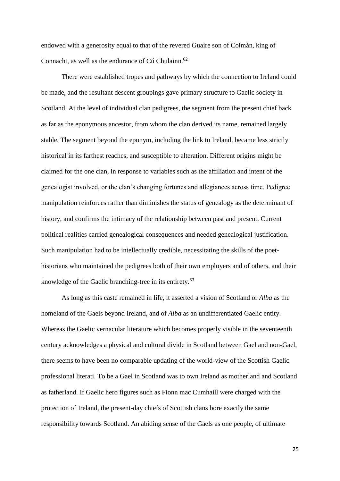endowed with a generosity equal to that of the revered Guaire son of Colmán, king of Connacht, as well as the endurance of Cú Chulainn. $62$ 

There were established tropes and pathways by which the connection to Ireland could be made, and the resultant descent groupings gave primary structure to Gaelic society in Scotland. At the level of individual clan pedigrees, the segment from the present chief back as far as the eponymous ancestor, from whom the clan derived its name, remained largely stable. The segment beyond the eponym, including the link to Ireland, became less strictly historical in its farthest reaches, and susceptible to alteration. Different origins might be claimed for the one clan, in response to variables such as the affiliation and intent of the genealogist involved, or the clan's changing fortunes and allegiances across time. Pedigree manipulation reinforces rather than diminishes the status of genealogy as the determinant of history, and confirms the intimacy of the relationship between past and present. Current political realities carried genealogical consequences and needed genealogical justification. Such manipulation had to be intellectually credible, necessitating the skills of the poethistorians who maintained the pedigrees both of their own employers and of others, and their knowledge of the Gaelic branching-tree in its entirety.<sup>63</sup>

As long as this caste remained in life, it asserted a vision of Scotland or *Alba* as the homeland of the Gaels beyond Ireland, and of *Alba* as an undifferentiated Gaelic entity. Whereas the Gaelic vernacular literature which becomes properly visible in the seventeenth century acknowledges a physical and cultural divide in Scotland between Gael and non-Gael, there seems to have been no comparable updating of the world-view of the Scottish Gaelic professional literati. To be a Gael in Scotland was to own Ireland as motherland and Scotland as fatherland. If Gaelic hero figures such as Fionn mac Cumhaill were charged with the protection of Ireland, the present-day chiefs of Scottish clans bore exactly the same responsibility towards Scotland. An abiding sense of the Gaels as one people, of ultimate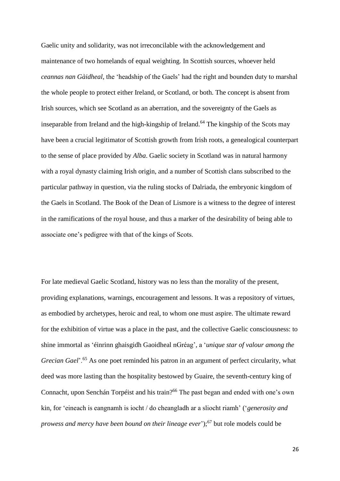Gaelic unity and solidarity, was not irreconcilable with the acknowledgement and maintenance of two homelands of equal weighting. In Scottish sources, whoever held *ceannas nan Gàidheal*, the 'headship of the Gaels' had the right and bounden duty to marshal the whole people to protect either Ireland, or Scotland, or both. The concept is absent from Irish sources, which see Scotland as an aberration, and the sovereignty of the Gaels as inseparable from Ireland and the high-kingship of Ireland.<sup>64</sup> The kingship of the Scots may have been a crucial legitimator of Scottish growth from Irish roots, a genealogical counterpart to the sense of place provided by *Alba*. Gaelic society in Scotland was in natural harmony with a royal dynasty claiming Irish origin, and a number of Scottish clans subscribed to the particular pathway in question, via the ruling stocks of Dalriada, the embryonic kingdom of the Gaels in Scotland. The Book of the Dean of Lismore is a witness to the degree of interest in the ramifications of the royal house, and thus a marker of the desirability of being able to associate one's pedigree with that of the kings of Scots.

For late medieval Gaelic Scotland, history was no less than the morality of the present, providing explanations, warnings, encouragement and lessons. It was a repository of virtues, as embodied by archetypes, heroic and real, to whom one must aspire. The ultimate reward for the exhibition of virtue was a place in the past, and the collective Gaelic consciousness: to shine immortal as 'éinrinn ghaisgidh Gaoidheal nGréag', a '*unique star of valour among the Grecian Gael*<sup>'</sup>.<sup>65</sup> As one poet reminded his patron in an argument of perfect circularity, what deed was more lasting than the hospitality bestowed by Guaire, the seventh-century king of Connacht, upon Senchán Torpéist and his train? <sup>66</sup> The past began and ended with one's own kin, for 'eineach is eangnamh is iocht / do cheangladh ar a sliocht riamh' ('*generosity and prowess and mercy have been bound on their lineage ever*'); <sup>67</sup> but role models could be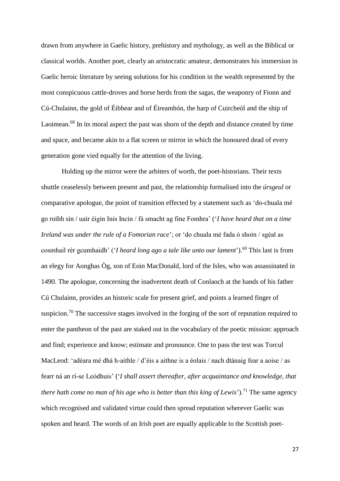drawn from anywhere in Gaelic history, prehistory and mythology, as well as the Biblical or classical worlds. Another poet, clearly an aristocratic amateur, demonstrates his immersion in Gaelic heroic literature by seeing solutions for his condition in the wealth represented by the most conspicuous cattle-droves and horse herds from the sagas, the weaponry of Fionn and Cú-Chulainn, the gold of Éibhear and of Éireamhón, the harp of Cuircheól and the ship of Laoimean.<sup>68</sup> In its moral aspect the past was shorn of the depth and distance created by time and space, and became akin to a flat screen or mirror in which the honoured dead of every generation gone vied equally for the attention of the living.

Holding up the mirror were the arbiters of worth, the poet-historians. Their texts shuttle ceaselessly between present and past, the relationship formalised into the *úrsgeul* or comparative apologue, the point of transition effected by a statement such as 'do-chuala mé go roibh sin / uair éigin Inis Incin / fá smacht ag fine Fomhra' ('*I have heard that on a time Ireland was under the rule of a Fomorian race*'; or 'do chuala mé fada ó shoin / sgéal as cosmhail rér gcumhaidh' ('*I heard long ago a tale like unto our lament*'). <sup>69</sup> This last is from an elegy for Aonghas Òg, son of Eoin MacDonald, lord of the Isles, who was assassinated in 1490. The apologue, concerning the inadvertent death of Conlaoch at the hands of his father Cú Chulainn, provides an historic scale for present grief, and points a learned finger of suspicion.<sup>70</sup> The successive stages involved in the forging of the sort of reputation required to enter the pantheon of the past are staked out in the vocabulary of the poetic mission: approach and find; experience and know; estimate and pronounce. One to pass the test was Torcul MacLeod: 'adéara mé dhá h-aithle / d'éis a aithne is a éolais / nach dtánaig fear a aoise / as fearr ná an rí-se Leódhuis' ('*I shall assert thereafter, after acquaintance and knowledge, that there hath come no man of his age who is better than this king of Lewis*'). <sup>71</sup> The same agency which recognised and validated virtue could then spread reputation wherever Gaelic was spoken and heard. The words of an Irish poet are equally applicable to the Scottish poet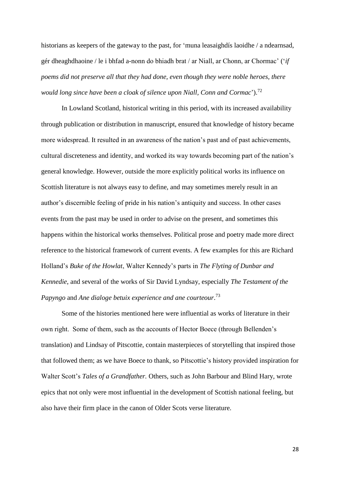historians as keepers of the gateway to the past, for 'muna leasaighdís laoidhe / a ndearnsad, gér dheaghdhaoine / le i bhfad a-nonn do bhiadh brat / ar Niall, ar Chonn, ar Chormac' ('*if poems did not preserve all that they had done, even though they were noble heroes, there would long since have been a cloak of silence upon Niall, Conn and Cormac*'). 72

In Lowland Scotland, historical writing in this period, with its increased availability through publication or distribution in manuscript, ensured that knowledge of history became more widespread. It resulted in an awareness of the nation's past and of past achievements, cultural discreteness and identity, and worked its way towards becoming part of the nation's general knowledge. However, outside the more explicitly political works its influence on Scottish literature is not always easy to define, and may sometimes merely result in an author's discernible feeling of pride in his nation's antiquity and success. In other cases events from the past may be used in order to advise on the present, and sometimes this happens within the historical works themselves. Political prose and poetry made more direct reference to the historical framework of current events. A few examples for this are Richard Holland's *Buke of the Howlat*, Walter Kennedy's parts in *The Flyting of Dunbar and Kennedie*, and several of the works of Sir David Lyndsay, especially *The Testament of the Papyngo* and *Ane dialoge betuix experience and ane courteour*. 73

Some of the histories mentioned here were influential as works of literature in their own right. Some of them, such as the accounts of Hector Boece (through Bellenden's translation) and Lindsay of Pitscottie, contain masterpieces of storytelling that inspired those that followed them; as we have Boece to thank, so Pitscottie's history provided inspiration for Walter Scott's *Tales of a Grandfather.* Others, such as John Barbour and Blind Hary, wrote epics that not only were most influential in the development of Scottish national feeling, but also have their firm place in the canon of Older Scots verse literature.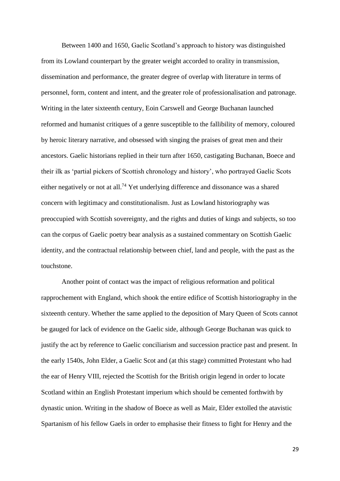Between 1400 and 1650, Gaelic Scotland's approach to history was distinguished from its Lowland counterpart by the greater weight accorded to orality in transmission, dissemination and performance, the greater degree of overlap with literature in terms of personnel, form, content and intent, and the greater role of professionalisation and patronage. Writing in the later sixteenth century, Eoin Carswell and George Buchanan launched reformed and humanist critiques of a genre susceptible to the fallibility of memory, coloured by heroic literary narrative, and obsessed with singing the praises of great men and their ancestors. Gaelic historians replied in their turn after 1650, castigating Buchanan, Boece and their ilk as 'partial pickers of Scottish chronology and history', who portrayed Gaelic Scots either negatively or not at all.<sup>74</sup> Yet underlying difference and dissonance was a shared concern with legitimacy and constitutionalism. Just as Lowland historiography was preoccupied with Scottish sovereignty, and the rights and duties of kings and subjects, so too can the corpus of Gaelic poetry bear analysis as a sustained commentary on Scottish Gaelic identity, and the contractual relationship between chief, land and people, with the past as the touchstone.

Another point of contact was the impact of religious reformation and political rapprochement with England, which shook the entire edifice of Scottish historiography in the sixteenth century. Whether the same applied to the deposition of Mary Queen of Scots cannot be gauged for lack of evidence on the Gaelic side, although George Buchanan was quick to justify the act by reference to Gaelic conciliarism and succession practice past and present. In the early 1540s, John Elder, a Gaelic Scot and (at this stage) committed Protestant who had the ear of Henry VIII, rejected the Scottish for the British origin legend in order to locate Scotland within an English Protestant imperium which should be cemented forthwith by dynastic union. Writing in the shadow of Boece as well as Mair, Elder extolled the atavistic Spartanism of his fellow Gaels in order to emphasise their fitness to fight for Henry and the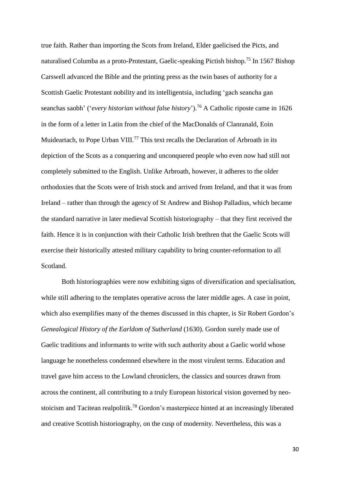true faith. Rather than importing the Scots from Ireland, Elder gaelicised the Picts, and naturalised Columba as a proto-Protestant, Gaelic-speaking Pictish bishop.<sup>75</sup> In 1567 Bishop Carswell advanced the Bible and the printing press as the twin bases of authority for a Scottish Gaelic Protestant nobility and its intelligentsia, including 'gach seancha gan seanchas saobh' ('*every historian without false history*'). <sup>76</sup> A Catholic riposte came in 1626 in the form of a letter in Latin from the chief of the MacDonalds of Clanranald, Eoin Muideartach, to Pope Urban VIII.<sup>77</sup> This text recalls the Declaration of Arbroath in its depiction of the Scots as a conquering and unconquered people who even now had still not completely submitted to the English. Unlike Arbroath, however, it adheres to the older orthodoxies that the Scots were of Irish stock and arrived from Ireland, and that it was from Ireland – rather than through the agency of St Andrew and Bishop Palladius, which became the standard narrative in later medieval Scottish historiography – that they first received the faith. Hence it is in conjunction with their Catholic Irish brethren that the Gaelic Scots will exercise their historically attested military capability to bring counter-reformation to all Scotland.

Both historiographies were now exhibiting signs of diversification and specialisation, while still adhering to the templates operative across the later middle ages. A case in point, which also exemplifies many of the themes discussed in this chapter, is Sir Robert Gordon's *Genealogical History of the Earldom of Sutherland* (1630). Gordon surely made use of Gaelic traditions and informants to write with such authority about a Gaelic world whose language he nonetheless condemned elsewhere in the most virulent terms. Education and travel gave him access to the Lowland chroniclers, the classics and sources drawn from across the continent, all contributing to a truly European historical vision governed by neostoicism and Tacitean realpolitik.<sup>78</sup> Gordon's masterpiece hinted at an increasingly liberated and creative Scottish historiography, on the cusp of modernity. Nevertheless, this was a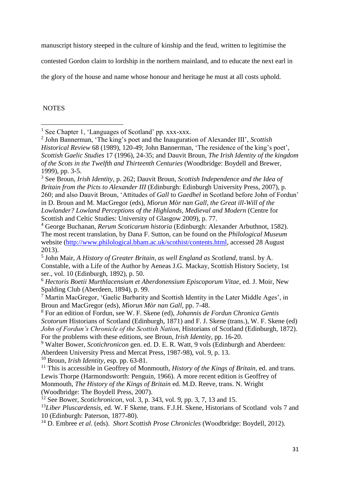manuscript history steeped in the culture of kinship and the feud, written to legitimise the

contested Gordon claim to lordship in the northern mainland, and to educate the next earl in

the glory of the house and name whose honour and heritage he must at all costs uphold.

## **NOTES**

**.** 

<sup>6</sup> *Hectoris Boetii Murthlacensium et Aberdonensium Episcoporum Vitae*, ed. J. Moir, New Spalding Club (Aberdeen, 1894), p. 99.

<sup>10</sup> Broun, *Irish Identity*, esp. pp. 63-81.

<sup>11</sup> This is accessible in Geoffrey of Monmouth, *History of the Kings of Britain*, ed. and trans. Lewis Thorpe (Harmondsworth: Penguin, 1966). A more recent edition is Geoffrey of Monmouth, *The History of the Kings of Britain* ed. M.D. Reeve, trans. N. Wright (Woodbridge: The Boydell Press, 2007).

<sup>12</sup> See Bower, *Scotichronicon*, vol. 3, p. 343, vol. 9, pp. 3, 7, 13 and 15.

<sup>13</sup>Liber Pluscardensis, ed. W. F Skene, trans. F.J.H. Skene, Historians of Scotland vols 7 and 10 (Edinburgh: Paterson, 1877-80).

<sup>14</sup> D. Embree *et al.* (eds). *Short Scottish Prose Chronicles* (Woodbridge: Boydell, 2012).

<sup>&</sup>lt;sup>1</sup> See Chapter 1, 'Languages of Scotland' pp. xxx-xxx.

<sup>2</sup> John Bannerman, 'The king's poet and the Inauguration of Alexander III', *Scottish Historical Review* 68 (1989), 120-49; John Bannerman, 'The residence of the king's poet', *Scottish Gaelic Studies* 17 (1996), 24-35; and Dauvit Broun, *The Irish Identity of the kingdom of the Scots in the Twelfth and Thirteenth Centuries* (Woodbridge: Boydell and Brewer, 1999), pp. 3-5.

<sup>3</sup> See Broun, *Irish Identity*, p. 262; Dauvit Broun, *Scottish Independence and the Idea of Britain from the Picts to Alexander III* (Edinburgh: Edinburgh University Press, 2007), p. 260; and also Dauvit Broun, 'Attitudes of *Gall* to *Gaedhel* in Scotland before John of Fordun' in D. Broun and M. MacGregor (eds), *Mìorun Mòr nan Gall, the Great ill-Will of the Lowlander? Lowland Perceptions of the Highlands, Medieval and Modern* (Centre for Scottish and Celtic Studies: University of Glasgow 2009), p. 77.

<sup>4</sup> George Buchanan, *Rerum Scoticarum historia* (Edinburgh: Alexander Arbuthnot, 1582). The most recent translation, by Dana F. Sutton, can be found on the *Philological Museum*  website [\(http://www.philological.bham.ac.uk/scothist/contents.html,](http://www.philological.bham.ac.uk/scothist/contents.html) accessed 28 August 2013).

<sup>5</sup> John Mair, *A History of Greater Britain, as well England as Scotland,* transl. by A. Constable, with a Life of the Author by Aeneas J.G. Mackay, Scottish History Society, 1st ser., vol. 10 (Edinburgh, 1892), p. 50.

<sup>7</sup> Martin MacGregor, 'Gaelic Barbarity and Scottish Identity in the Later Middle Ages', in Broun and MacGregor (eds), *Mìorun Mòr nan Gall,* pp. 7-48.

<sup>8</sup> For an edition of Fordun, see W. F. Skene (ed), *Johannis de Fordun Chronica Gentis Scotorum* Historians of Scotland (Edinburgh, 1871) and F. J. Skene (trans.), W. F. Skene (ed) *John of Fordun's Chronicle of the Scottish Nation*, Historians of Scotland (Edinburgh, 1872). For the problems with these editions, see Broun, *Irish Identity,* pp. 16-20.

<sup>9</sup> Walter Bower, *Scotichronicon* gen. ed. D. E. R. Watt, 9 vols (Edinburgh and Aberdeen: Aberdeen University Press and Mercat Press, 1987-98), vol. 9, p. 13.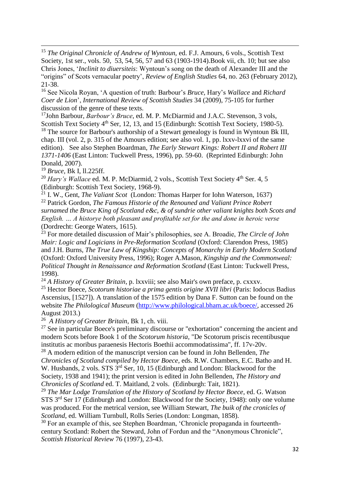<sup>15</sup> *The Original Chronicle of Andrew of Wyntoun, ed. F.J. Amours, 6 vols., Scottish Text* Society, 1st ser., vols. 50, 53, 54, 56, 57 and 63 (1903-1914).Book vii, ch. 10; but see also Chris Jones, '*Inclinit to diuersiteis*: Wyntoun's song on the death of Alexander III and the "origins" of Scots vernacular poetry', *Review of English Studies* 64, no. 263 (February 2012), 21-38.

<sup>16</sup> See Nicola Royan, 'A question of truth: Barbour's *Bruce,* Hary's *Wallace* and *Richard Coer de Lion*', *International Review of Scottish Studies* 34 (2009), 75-105 for further discussion of the genre of these texts.

<sup>17</sup>John Barbour, *Barbour's Bruce*, ed. M. P. McDiarmid and J.A.C. Stevenson, 3 vols, Scottish Text Society 4<sup>th</sup> Ser, 12, 13, and 15 (Edinburgh: Scottish Text Society, 1980-5). <sup>18</sup> The source for Barbour's authorship of a Stewart genealogy is found in Wyntoun Bk III, chap. III (vol. 2, p. 315 of the Amours edition; see also vol. 1, pp. lxxv-lxxvi of the same edition). See also Stephen Boardman, *The Early Stewart Kings: Robert II and Robert III 1371-1406* (East Linton: Tuckwell Press, 1996), pp. 59-60. (Reprinted Edinburgh: John Donald, 2007).

<sup>19</sup> *Bruce,* Bk I, ll.225ff.

**.** 

<sup>20</sup> *Hary's Wallace* ed. M. P. McDiarmid, 2 vols., Scottish Text Society 4<sup>th</sup> Ser. 4, 5 (Edinburgh: Scottish Text Society, 1968-9).

<sup>21</sup> I. W., Gent, *The Valiant Scot* (London: Thomas Harper for Iohn Waterson, 1637) <sup>22</sup> Patrick Gordon, *The Famous Historie of the Renouned and Valiant Prince Robert surnamed the Bruce King of Scotland e&c, & of sundrie other valiant knights both Scots and English. … A historye both pleasant and profitable set for the and done in heroic verse* (Dordrecht: George Waters, 1615).

<sup>23</sup> For more detailed discussion of Mair's philosophies, see A. Broadie, *The Circle of John Mair: Logic and Logicians in Pre-Reformation Scotland* (Oxford: Clarendon Press, 1985) and J.H. Burns, *The True Law of Kingship: Concepts of Monarchy in Early Modern Scotland* (Oxford: Oxford University Press, 1996); Roger A.Mason, *Kingship and the Commonweal: Political Thought in Renaissance and Reformation Scotland* (East Linton: Tuckwell Press, 1998).

<sup>24</sup> *A History of Greater Britain*, p. lxxviii; see also Mair's own preface, p. cxxxv.

<sup>25</sup> Hector Boece, *Scotorum historiae a prima gentis origine XVII libri* (Paris: Iodocus Badius Ascensius, [1527]). A translation of the 1575 edition by Dana F. Sutton can be found on the website *The Philological Museum* [\(http://www.philological.bham.ac.uk/boece/,](http://www.philological.bham.ac.uk/boece/) accessed 26 August 2013.)

26 *A History of Greater Britain*, Bk 1, ch. viii.

 $27$  See in particular Boece's preliminary discourse or "exhortation" concerning the ancient and modern Scots before Book 1 of the *Scotorum historia,* "De Scotorum priscis recentibusque institutis ac moribus paraenesis Hectoris Boethii accommodatissima", ff. 17v-20v.

<sup>28</sup> A modern edition of the manuscript version can be found in John Bellenden, *The Chronicles of Scotland compiled by Hector Boece,* eds. R.W. Chambers, E.C. Batho and H. W. Husbands, 2 vols. STS  $3<sup>rd</sup>$  Ser, 10, 15 (Edinburgh and London: Blackwood for the Society, 1938 and 1941); the print version is edited in John Bellenden, *The History and Chronicles of Scotland* ed. T. Maitland, 2 vols. (Edinburgh: Tait, 1821).

<sup>29</sup> *The Mar Lodge Translation of the History of Scotland by Hector Boece*, ed. G. Watson STS 3rd Ser 17 (Edinburgh and London: Blackwood for the Society, 1948): only one volume was produced. For the metrical version, see William Stewart, *The buik of the cronicles of Scotland*, ed. William Turnbull, Rolls Series (London: Longman, 1858).

<sup>30</sup> For an example of this, see Stephen Boardman, 'Chronicle propaganda in fourteenthcentury Scotland: Robert the Steward, John of Fordun and the "Anonymous Chronicle", *Scottish Historical Review* 76 (1997), 23-43.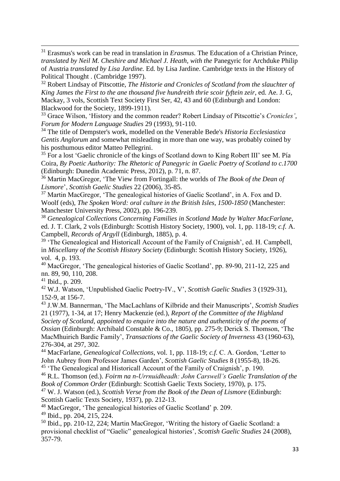<sup>31</sup> Erasmus's work can be read in translation in *Erasmus.* The Education of a Christian Prince*, translated by Neil M. Cheshire and Michael J. Heath, with the Panegyric for Archduke Philip* of Austria *translated by Lisa Jardine.* Ed. by Lisa Jardine. Cambridge texts in the History of Political Thought . (Cambridge 1997).

<sup>32</sup> Robert Lindsay of Pitscottie, *The Historie and Cronicles of Scotland from the slauchter of King James the First to the ane thousand five hundreith thrie scoir fyftein zeir*, ed. Ae. J. G, Mackay, 3 vols, Scottish Text Society First Ser, 42, 43 and 60 (Edinburgh and London: Blackwood for the Society, 1899-1911).

<sup>33</sup> Grace Wilson, 'History and the common reader? Robert Lindsay of Pitscottie's *Cronicles'*, *Forum for Modern Language Studies* 29 (1993), 91-110.

<sup>34</sup> The title of Dempster's work, modelled on the Venerable Bede's *Historia Ecclesiastica Gentis Anglorum* and somewhat misleading in more than one way, was probably coined by his posthumous editor Matteo Pellegrini.

 $35$  For a lost 'Gaelic chronicle of the kings of Scotland down to King Robert III' see M. Pía Coira, *By Poetic Authority: The Rhetoric of Panegyric in Gaelic Poetry of Scotland to c.1700* (Edinburgh: Dunedin Academic Press, 2012), p. 71, n. 87.

<sup>36</sup> Martin MacGregor, 'The View from Fortingall: the worlds of *The Book of the Dean of Lismore*', *Scottish Gaelic Studies* 22 (2006), 35-85.

<sup>37</sup> Martin MacGregor, 'The genealogical histories of Gaelic Scotland', in A. Fox and D. Woolf (eds), *The Spoken Word: oral culture in the British Isles, 1500-1850* (Manchester: Manchester University Press, 2002), pp. 196-239.

<sup>38</sup> *Genealogical Collections Concerning Families in Scotland Made by Walter MacFarlane*, ed. J. T. Clark, 2 vols (Edinburgh: Scottish History Society, 1900), vol. 1, pp. 118-19; *c.f.* A. Campbell, *Records of Argyll* (Edinburgh, 1885), p. 4.

<sup>39</sup> 'The Genealogical and Historicall Account of the Family of Craignish', ed. H. Campbell, in *Miscellany of the Scottish History Society* (Edinburgh: Scottish History Society, 1926), vol. 4, p. 193.

<sup>40</sup> MacGregor, 'The genealogical histories of Gaelic Scotland', pp. 89-90, 211-12, 225 and nn. 89, 90, 110, 208.

 $41$  Ibid., p. 209.

**.** 

<sup>42</sup> W.J. Watson, 'Unpublished Gaelic Poetry-IV., V', *Scottish Gaelic Studies* 3 (1929-31), 152-9, at 156-7.

<sup>43</sup> J.W.M. Bannerman, 'The MacLachlans of Kilbride and their Manuscripts', *Scottish Studies* 21 (1977), 1-34, at 17; Henry Mackenzie (ed.), *Report of the Committee of the Highland Society of Scotland, appointed to enquire into the nature and authenticity of the poems of Ossian* (Edinburgh: Archibald Constable & Co., 1805), pp. 275-9; Derick S. Thomson, 'The MacMhuirich Bardic Family', *Transactions of the Gaelic Society of Inverness* 43 (1960-63), 276-304, at 297, 302.

<sup>44</sup> MacFarlane, *Genealogical Collections*, vol. 1, pp. 118-19; *c.f.* C. A. Gordon, 'Letter to John Aubrey from Professor James Garden', *Scottish Gaelic Studies* 8 (1955-8), 18-26. <sup>45</sup> 'The Genealogical and Historicall Account of the Family of Craignish', p. 190.

<sup>46</sup> R.L. Thomson (ed.). *Foirm na n-Urrnuidheadh: John Carswell's Gaelic Translation of the Book of Common Order* (Edinburgh: Scottish Gaelic Texts Society, 1970), p. 175.

<sup>47</sup> W. J. Watson (ed.), *Scottish Verse from the Book of the Dean of Lismore* (Edinburgh: Scottish Gaelic Texts Society, 1937), pp. 212-13.

<sup>48</sup> MacGregor, 'The genealogical histories of Gaelic Scotland' p. 209.

<sup>49</sup> Ibid., pp. 204, 215, 224.

 $50$  Ibid., pp. 210-12, 224; Martin MacGregor, 'Writing the history of Gaelic Scotland: a provisional checklist of "Gaelic" genealogical histories', *Scottish Gaelic Studies* 24 (2008), 357-79.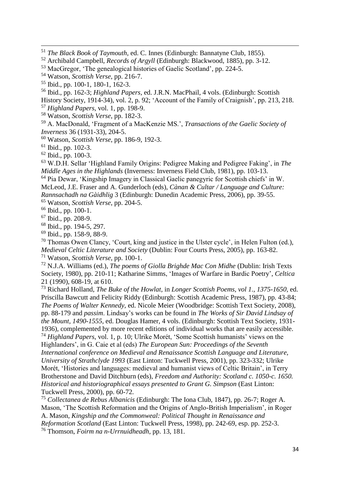<sup>56</sup> Ibid., pp. 162-3; *Highland Papers*, ed. J.R.N. MacPhail, 4 vols. (Edinburgh: Scottish

History Society, 1914-34), vol. 2, p. 92; 'Account of the Family of Craignish', pp. 213, 218.

<sup>57</sup> *Highland Papers*, vol. 1, pp. 198-9.

<sup>58</sup> Watson, *Scottish Verse*, pp. 182-3.

<sup>59</sup> A. MacDonald, 'Fragment of a MacKenzie MS.', *Transactions of the Gaelic Society of Inverness* 36 (1931-33), 204-5.

<sup>60</sup> Watson, *Scottish Verse*, pp. 186-9, 192-3.

 $61$  Ibid., pp. 102-3.

**.** 

 $62$  Ibid., pp. 100-3.

<sup>63</sup> W.D.H. Sellar 'Highland Family Origins: Pedigree Making and Pedigree Faking', in *The Middle Ages in the Highlands* (Inverness: Inverness Field Club, 1981), pp. 103-13.

<sup>64</sup> Pia Dewar, 'Kingship Imagery in Classical Gaelic panegyric for Scottish chiefs' in W. McLeod, J.E. Fraser and A. Gunderloch (eds), *Cànan & Cultar / Language and Culture: Rannsachadh na Gàidhlig* 3 (Edinburgh: Dunedin Academic Press, 2006), pp. 39-55.

<sup>65</sup> Watson, *Scottish Verse*, pp. 204-5.

<sup>66</sup> Ibid., pp. 100-1.

 $67$  Ibid., pp. 208-9.

- <sup>68</sup> Ibid., pp. 194-5, 297.
- <sup>69</sup> Ibid., pp. 158-9, 88-9.

<sup>70</sup> Thomas Owen Clancy, 'Court, king and justice in the Ulster cycle', in Helen Fulton (ed.), *Medieval Celtic Literature and Society* (Dublin: Four Courts Press, 2005), pp. 163-82. <sup>71</sup> Watson, *Scottish Verse*, pp. 100-1.

<sup>72</sup> N.J.A. Williams (ed.), *The poems of Giolla Brighde Mac Con Midhe* (Dublin: Irish Texts Society, 1980), pp. 210-11; Katharine Simms, 'Images of Warfare in Bardic Poetry', *Celtica* 21 (1990), 608-19, at 610.

<sup>73</sup> Richard Holland, *The Buke of the Howlat,* in *Longer Scottish Poems, vol 1., 1375-1650,* ed. Priscilla Bawcutt and Felicity Riddy (Edinburgh: Scottish Academic Press, 1987), pp. 43-84; *The Poems of Walter Kennedy,* ed. Nicole Meier (Woodbridge: Scottish Text Society, 2008), pp. 88-179 and *passim*. Lindsay's works can be found in *The Works of Sir David Lindsay of the Mount, 1490-1555,* ed. Douglas Hamer, 4 vols. (Edinburgh: Scottish Text Society, 1931- 1936), complemented by more recent editions of individual works that are easily accessible. <sup>74</sup> *Highland Papers*, vol. 1, p. 10; Ulrike Morét, 'Some Scottish humanists' views on the Highlanders', in G. Caie et al (eds) *The European Sun: Proceedings of the Seventh International conference on Medieval and Renaissance Scottish Language and Literature, University of Strathclyde 1993* (East Linton: Tuckwell Press, 2001), pp. 323-332; Ulrike Morét, 'Histories and languages: medieval and humanist views of Celtic Britain', in Terry Brotherstone and David Ditchburn (eds), *Freedom and Authority: Scotland c. 1050-c. 1650. Historical and historiographical essays presented to Grant G. Simpson* (East Linton: Tuckwell Press, 2000), pp. 60-72.

<sup>75</sup> *Collectanea de Rebus Albanicis* (Edinburgh: The Iona Club, 1847), pp. 26-7; Roger A. Mason, 'The Scottish Reformation and the Origins of Anglo-British Imperialism', in Roger A. Mason, *Kingship and the Commonweal: Political Thought in Renaissance and Reformation Scotland* (East Linton: Tuckwell Press, 1998), pp. 242-69, esp. pp. 252-3. <sup>76</sup> Thomson, *Foirm na n-Urrnuidheadh*, pp. 13, 181.

<sup>51</sup> *The Black Book of Taymouth*, ed. C. Innes (Edinburgh: Bannatyne Club, 1855).

<sup>52</sup> Archibald Campbell, *Records of Argyll* (Edinburgh: Blackwood, 1885), pp. 3-12.

<sup>53</sup> MacGregor, 'The genealogical histories of Gaelic Scotland', pp. 224-5.

<sup>54</sup> Watson, *Scottish Verse*, pp. 216-7.

<sup>55</sup> Ibid., pp. 100-1, 180-1, 162-3.